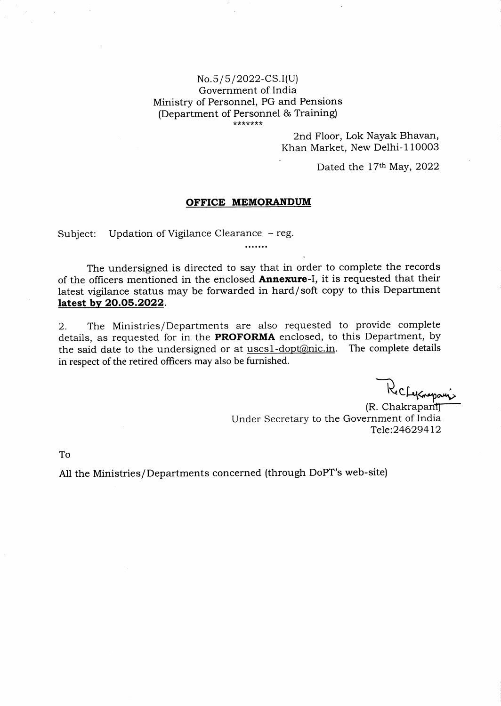## No.5/5/2022-CS.I(U) Government of India Ministry of Personnel, PG and Pensions (Department of Personnel & Training)

2nd Floor, Lok Nayak Bhavan, Khan Market, New Delhi-110003

Dated the 17<sup>th</sup> May, 2022

## OFFICE MEMORANDUM

Subject: Updation of Vigilance Clearance - reg.

The undersigned is directed to say that in order to complete the records of the officers mentioned in the enclosed **Annexure**-I, it is requested that their latest vigilance status may be forwarded in hard/soft copy to this Department latest by 20.05.2022.

.......

2. The Ministries/Departments are also requested to provide complete details, as requested for in the PROFORMA enclosed, to this Department, by the said date to the undersigned or at uscs1-dopt@nic.in. The complete details in respect of the retired officers may also be furnished.

Ke CLyEneparis

(R. Chakrapant) Under Secretary to the Government of India Tele:246294L2

To

A11 the Ministries/Departments concerned (through DoPT's web-site)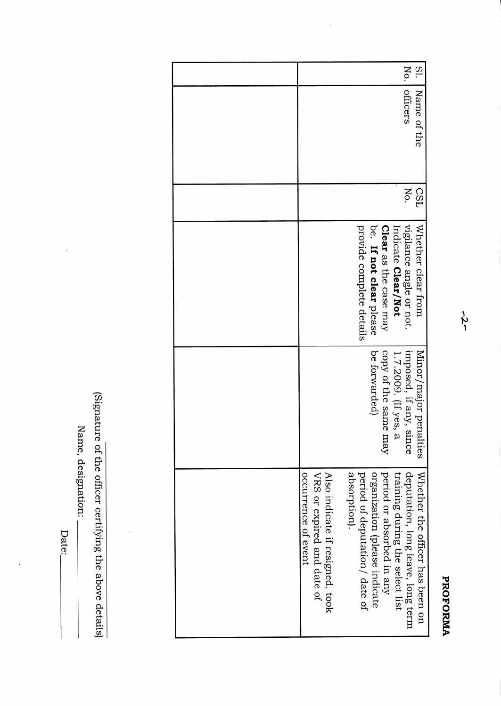| No.                                                                                                                                                                                                                                                                         | $\overline{\mathrm{S}}$ .       |
|-----------------------------------------------------------------------------------------------------------------------------------------------------------------------------------------------------------------------------------------------------------------------------|---------------------------------|
| otticers                                                                                                                                                                                                                                                                    | Name of the                     |
| No.                                                                                                                                                                                                                                                                         | <b>CSD</b>                      |
| provide complete details<br>vigilance angle or not.<br>Clear as the case may<br>be. If not clear please<br>Indicate Clear/Not                                                                                                                                               | Whether clear from              |
| imposed, if any, since<br>1.7.2009. (If yes, a<br>copy of the same<br>be forwarded)<br>yay                                                                                                                                                                                  | Minor/major penalties           |
| period or absorbed in any<br>deputation, long leave, long term<br>absorption).<br>period of deputation/ date of<br>organization (please indicate<br>training during the select list<br>Also indicate if resigned, took<br>occurrence of event<br>VRS or expired and date of | Whether the officer has been on |

Name, designation:

Date:

 $\ddot{\phantom{0}}$ 

(Signature of the officer certifying the above details)

 $\frac{1}{2}$ 

 $-5-$ 

## PROFORMA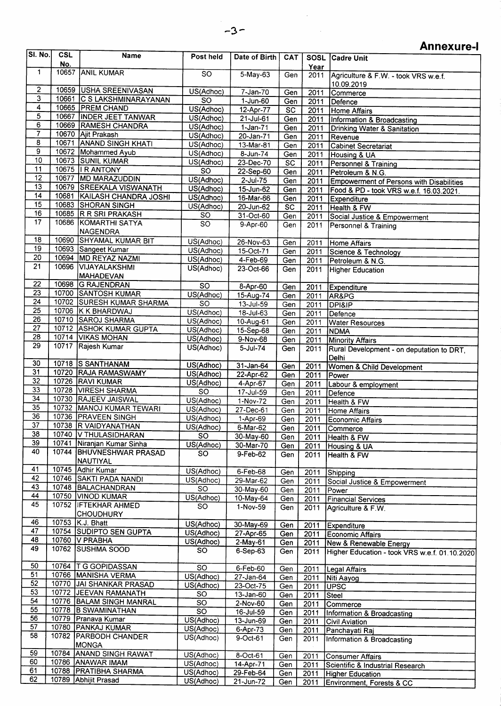$\bar{z}$ 

## Annexure-I

| <b>SI. No.</b>          | <b>CSL</b> | Name                        | Post held       | Date of Birth | <b>CAT</b>      |      | SOSL Cadre Unit                               |
|-------------------------|------------|-----------------------------|-----------------|---------------|-----------------|------|-----------------------------------------------|
|                         | No.        |                             |                 |               |                 | Year |                                               |
| 1                       |            | 10657 ANIL KUMAR            | <b>SO</b>       | 5-May-63      | Gen             | 2011 | Agriculture & F.W. - took VRS w.e.f.          |
|                         |            |                             |                 |               |                 |      | 10.09.2019                                    |
| $\overline{2}$          |            | 10659 USHA SREENIVASAN      | US(Adhoc)       | $7 - Jan-70$  | Gen             | 2011 | Commerce                                      |
| 3                       |            | 10661 C S LAKSHMINARAYANAN  | $\overline{SO}$ | $1 - Jun-60$  | Gen             | 2011 | Defence                                       |
| $\overline{\bf 4}$      |            | 10665 PREM CHAND            | US(Adhoc)       | 12-Apr-77     | $\overline{SC}$ | 2011 | <b>Home Affairs</b>                           |
| $\overline{5}$          |            | 10667 INDER JEET TANWAR     | US(Adhoc)       | 21-Jul-61     | Gen             | 2011 | Information & Broadcasting                    |
| 6                       |            | 10669 RAMESH CHANDRA        | US(Adhoc)       | $1-Jan-71$    | Gen             | 2011 | <b>Drinking Water &amp; Sanitation</b>        |
| $\overline{\mathbf{7}}$ |            | 10670 Ajit Prakash          | US(Adhoc)       | 20-Jan-71     | Gen             | 2011 | Revenue                                       |
| 8                       |            | 10671 ANAND SINGH KHATI     | US(Adhoc)       | $13-Mar-81$   | Gen             | 2011 | Cabinet Secretariat                           |
| $\overline{9}$          |            | 10672 Mohammed Ayub         | US(Adhoc)       | $8 - Jun-74$  | Gen             | 2011 | Housing & UA                                  |
| 10                      |            | 10673 SUNIL KUMAR           | US(Adhoc)       | 23-Dec-70     | $\overline{SC}$ |      |                                               |
| 11                      |            | 10675   R ANTONY            | $\overline{SO}$ | 22-Sep-60     |                 | 2011 | Personnel & Training                          |
| $\overline{12}$         |            | 10677 MD MARAZUDDIN         | US(Adhoc)       | $2$ -Jul-75   | Gen             | 2011 | Petroleum & N.G.                              |
| 13                      |            | 10679 SREEKALA VISWANATH    | US(Adhoc)       |               | Gen             | 2011 | Empowerment of Persons with Disabilities      |
| 14                      |            | 10681 KAILASH CHANDRA JOSHI |                 | 15-Jun-62     | Gen             | 2011 | Food & PD - took VRS w.e.f. 16.03.2021.       |
| 15                      |            | 10683 SHORAN SINGH          | US(Adhoc)       | 16-Mar-66     | Gen             | 2011 | <b>Expenditure</b>                            |
| 16                      |            | 10685 R R SRI PRAKASH       | US(Adhoc)       | 20-Jun-62     | SC              | 2011 | Health & FW                                   |
| 17                      |            | 10686 KOMARTHI SATYA        | <b>SO</b>       | 31-Oct-60     | Gen             | 2011 | Social Justice & Empowerment                  |
|                         |            |                             | <b>SO</b>       | 9-Apr-60      | Gen             | 2011 | Personnel & Training                          |
|                         |            | <b>NAGENDRA</b>             |                 |               |                 |      |                                               |
| 18                      | 10690      | <b>SHYAMAL KUMAR BIT</b>    | US(Adhoc)       | 26-Nov-63     | Gen             | 2011 | Home Affairs                                  |
| 19                      |            | 10693 Sangeet Kumar         | US(Adhoc)       | 15-Oct-71     | Gen             | 2011 | Science & Technology                          |
| 20                      |            | 10694 MD REYAZ NAZMI        | US(Adhoc)       | $4-Feb-69$    | Gen             | 2011 | Petroleum & N.G.                              |
| $\overline{21}$         |            | 10696 VIJAYALAKSHMI         | US(Adhoc)       | 23-Oct-66     | Gen             | 2011 | Higher Education                              |
|                         |            | MAHADEVAN                   |                 |               |                 |      |                                               |
| 22                      |            | 10698 G RAJENDRAN           | $\overline{SO}$ | 8-Apr-60      | Gen             | 2011 | Expenditure                                   |
| 23                      |            | 10700 SANTOSH KUMAR         | US(Adhoc)       | 15-Aug-74     | Gen             | 2011 | AR&PG                                         |
| 24                      |            | 10702 SURESH KUMAR SHARMA   | $\overline{SO}$ | 13-Jul-59     | Gen             | 2011 | <b>DPI&amp;IP</b>                             |
| $\overline{25}$         |            | 10706 K K BHARDWAJ          | US(Adhoc)       | 18-Jul-63     | Gen             | 2011 | Defence                                       |
| 26                      |            | 10710 SAROJ SHARMA          | US(Adhoc)       | 10-Aug-61     | Gen             | 2011 | <b>Water Resources</b>                        |
| $\overline{27}$         |            | 10712 ASHOK KUMAR GUPTA     | US(Adhoc)       | 15-Sep-68     | Gen             | 2011 | NDMA                                          |
| $\overline{28}$         |            | 10714 VIKAS MOHAN           | US(Adhoc)       | 9-Nov-68      | Gen             | 2011 | <b>Minority Affairs</b>                       |
| $\overline{29}$         |            | 10717 Rajesh Kumar          | US(Adhoc)       | $5 -$ Jul-74  | Gen             | 2011 |                                               |
|                         |            |                             |                 |               |                 |      | Rural Development - on deputation to DRT.     |
| 30                      |            | 10718 S SANTHANAM           | US(Adhoc)       |               |                 |      | Delhi                                         |
| $\overline{31}$         |            | 10720 RAJA RAMASWAMY        |                 | 31-Jan-64     | Gen             | 2011 | Women & Child Development                     |
| 32                      |            | 10726 RAVI KUMAR            | US(Adhoc)       | 22-Apr-62     | Gen             | 2011 | Power                                         |
| $\overline{33}$         |            | 10728 VIRESH SHARMA         | US(Adhoc)       | 4-Apr-67      | Gen             | 2011 | Labour & employment                           |
| $\overline{34}$         |            | 10730 RAJEEV JAISWAL        | SŐ              | 17-Jul-59     | Gen             | 2011 | Defence                                       |
| 35                      |            |                             | US(Adhoc)       | 1-Nov-72      | Gen             | 2011 | Health & FW                                   |
| $\overline{36}$         |            | 10732 MANOJ KUMAR TEWARI    | US(Adhoc)       | 27-Dec-61     | Gen             | 2011 | Home Affairs                                  |
| 37                      |            | 10736 PRAVEEN SINGH         | US(Adhoc)       | 1-Apr-69      | Gen             | 2011 | Economic Affairs                              |
|                         |            | 10738 R VAIDYANATHAN        | US(Adhoc)       | 6-Mar-62      | Gen             |      | 2011 Commerce                                 |
| 38                      |            | 10740   V THULASIDHARAN     | SO.             | 30-May-60     | Gen             | 2011 | Health & FW                                   |
| 39                      |            | 10741 Niranjan Kumar Sinha  | US(Adhoc)       | 30-Mar-70     | Gen             | 2011 | Housing & UA                                  |
| 40                      |            | 10744 BHUVNESHWAR PRASAD    | SO              | 9-Feb-62      | Gen             | 2011 | Health & FW                                   |
|                         |            | NAUTIYAL                    |                 |               |                 |      |                                               |
| 41                      |            | 10745 Adhir Kumar           | US(Adhoc)       | 6-Feb-68      | Gen             | 2011 | Shipping                                      |
| 42                      |            | 10746 SAKTI PADA NANDI      | US(Adhoc)       | 29-Mar-62     | Gen             | 2011 | Social Justice & Empowerment                  |
| 43                      |            | 10748 BALACHANDRAN          | SO              | 30-May-60     | Gen             | 2011 | Power                                         |
| 44                      |            | 10750 VINOD KUMAR           | US(Adhoc)       | $10-May-64$   | Gen             | 2011 | <b>Financial Services</b>                     |
| 45                      |            | 10752   IFTEKHAR AHMED      | SO              | $1-Nov-59$    | Gen             | 2011 | Agriculture & F.W.                            |
|                         |            | <b>CHOUDHURY</b>            |                 |               |                 |      |                                               |
| 46                      |            | 10753 K.J. Bhatt            | US(Adhoc)       | 30-May-69     | Gen             | 2011 | <b>Expenditure</b>                            |
| 47                      |            | 10754 SUDIPTO SEN GUPTA     | US(Adhoc)       | 27-Apr-65     | Gen             | 2011 | Economic Affairs                              |
| 48                      |            | 10760   V PRABHA            | US(Adhoc)       | $2-May-61$    | Gen             | 2011 | New & Renewable Energy                        |
| 49                      |            | 10762 SUSHMA SOOD           | <b>SO</b>       | 6-Sep-63      | Gen             | 2011 |                                               |
|                         |            |                             |                 |               |                 |      | Higher Education - took VRS w.e.f. 01.10.2020 |
| 50                      |            | 10764   TG GOPIDASSAN       | <b>SO</b>       | 6-Feb-60      | Gen             |      |                                               |
| $\overline{51}$         |            | 10766 MANISHA VERMA         | US(Adhoc)       | $27 - Jan-64$ |                 | 2011 | Legal Affairs                                 |
| 52                      |            | 10770 JAI SHANKAR PRASAD    | US(Adhoc)       |               | Gen             | 2011 | Niti Aayog                                    |
| 53                      |            | 10772 JEEVAN RAMANATH       | <b>SO</b>       | 23-Oct-75     | Gen             | 2011 | UPSC                                          |
| 54                      |            | 10776 BALAM SINGH MANRAL    |                 | $13 - Jan-60$ | Gen             | 2011 | Steel                                         |
| 55                      |            | 10778 B SWAMINATHAN         | SO              | 2-Nov-60      | Gen             | 2011 | Commerce                                      |
| 56                      |            | 10779 Pranava Kumar         | $\overline{SO}$ | 16-Jul-59     | Gen             | 2011 | Information & Broadcasting                    |
| 57                      |            | 10780 PANKAJ KUMAR          | US(Adhoc)       | 13-Jun-69     | Gen             | 2011 | Civil Aviation                                |
| 58                      |            | 10782   PARBODH CHANDER     | US(Adhoc)       | 6-Apr-73      | Gen             | 2011 | Panchayati Raj                                |
|                         |            |                             | US(Adhoc)       | 9-Oct-61      | Gen             | 2011 | Information & Broadcasting                    |
|                         |            | MONGA                       |                 |               |                 |      |                                               |
| 59                      |            | 10784 ANAND SINGH RAWAT     | US(Adhoc)       | 8-Oct-61      | Gen             | 2011 | Consumer Affairs                              |
| 60                      |            | 10786 ANAWAR IMAM           | US(Adhoc)       | 14-Apr-71     | Gen             | 2011 | Scientific & Industrial Research              |
| 61                      |            | 10788 PRATIBHA SHARMA       | US(Adhoc)       | 29-Feb-64     | Gen             | 2011 | <b>Higher Education</b>                       |
| 62                      |            | 10789 Abhijit Prasad        | US(Adhoc)       | $21$ -Jun-72  | Gen             | 2011 | Environment, Forests & CC                     |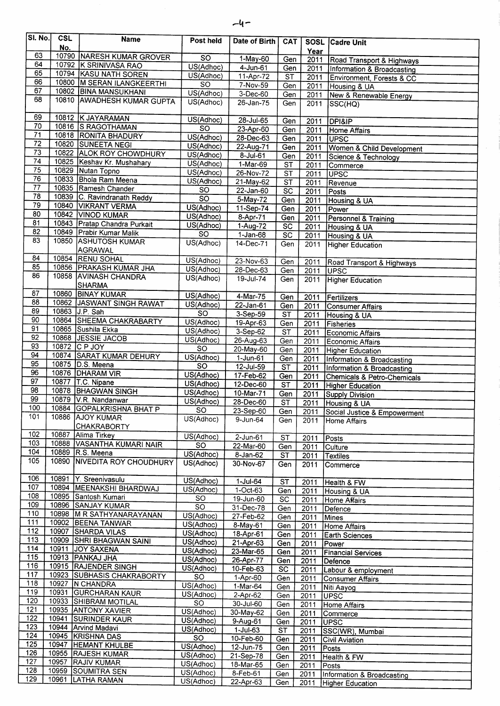| <b>SI. No.</b>  | <b>CSL</b> | <b>Name</b>                                         | Post held                    | Date of Birth           | CAT                             |              | SOSL Cadre Unit                                        |
|-----------------|------------|-----------------------------------------------------|------------------------------|-------------------------|---------------------------------|--------------|--------------------------------------------------------|
|                 | No.        |                                                     |                              |                         |                                 | Year         |                                                        |
| 63              |            | 10790 NARESH KUMAR GROVER                           | $\overline{SO}$              | 1-May-60                | Gen                             | 2011         | Road Transport & Highways                              |
| 64<br>65        |            | 10792 K SRINIVASA RAO                               | US(Adhoc)                    | $4$ -Jun-61             | Gen                             | 2011         | Information & Broadcasting                             |
| 66              |            | 10794 KASU NATH SOREN                               | US(Adhoc)                    | 11-Apr-72               | $\overline{\text{ST}}$          | 2011         | Environment, Forests & CC                              |
| 67              |            | 10800 M SERAN ILANGKEERTHI<br>10802 BINA MANSUKHANI | <b>SO</b>                    | 7-Nov-59                | Gen                             | 2011         | Housing & UA                                           |
| 68              |            | 10810 AWADHESH KUMAR GUPTA                          | US(Adhoc)                    | 3-Dec-60                | Gen                             | 2011         | New & Renewable Energy                                 |
|                 |            |                                                     | US(Adhoc)                    | $26 - Jan-75$           | Gen                             | 2011         | SSC(HQ)                                                |
| 69              |            | 10812 K JAYARAMAN                                   |                              |                         |                                 |              |                                                        |
| 70              |            | 10816 S RAGOTHAMAN                                  | US(Adhoc)<br>$\overline{SO}$ | $28 - Jul - 65$         | Gen                             | 2011         | <b>DPI&amp;IP</b>                                      |
| $\overline{71}$ |            | 10818 RONITA BHADURY                                | US(Adhoc)                    | 23-Apr-60               | Gen                             | 2011         | Home Affairs                                           |
| $\overline{72}$ |            | 10820 SUNEETA NEGI                                  | US(Adhoc)                    | 28-Dec-63<br>22-Aug-71  | Gen                             | 2011         | UPSC                                                   |
| $\overline{73}$ |            | 10822 ALOK ROY CHOWDHURY                            | US(Adhoc)                    | 8-Jul-61                | Gen                             | 2011         | Women & Child Development                              |
| 74              |            | 10825 Keshav Kr. Mushahary                          | US(Adhoc)                    | $1-Mar-69$              | Gen<br>$\overline{\mathsf{ST}}$ | 2011         | Science & Technology                                   |
| 75              |            | 10829 Nutan Topno                                   | US(Adhoc)                    | 26-Nov-72               | ST                              | 2011<br>2011 | Commerce<br>UPSC                                       |
| 76              |            | 10833 Bhola Ram Meena                               | US(Adhoc)                    | 21-May-62               | $\overline{\mathsf{ST}}$        | 2011         | Revenue                                                |
| $\overline{77}$ |            | 10835 Ramesh Chander                                | <b>SO</b>                    | 22-Jan-60               | <b>SC</b>                       | 2011         | Posts                                                  |
| $\overline{78}$ |            | 10839 C. Ravindranath Reddy                         | $\overline{SO}$              | $5-May-72$              | Gen                             | 2011         | Housing & UA                                           |
| $\overline{79}$ |            | 10840 VIKRANT VERMA                                 | US(Adhoc)                    | 11-Sep-74               | Gen                             | 2011         | Power                                                  |
| 80              |            | 10842 VINOD KUMAR                                   | US(Adhoc)                    | 8-Apr-71                | Gen                             | 2011         | Personnel & Training                                   |
| 81              |            | 10843 Pratap Chandra Purkait                        | US(Adhoc)                    | 1-Aug-72                | $\overline{SC}$                 | 2011         | Housing & UA                                           |
| $\overline{82}$ |            | 10849 Prabir Kumar Malik                            | $\overline{SO}$              | $1-Jan-68$              | $\overline{SC}$                 | 2011         | Housing & UA                                           |
| 83              |            | 10850 ASHUTOSH KUMAR                                | US(Adhoc)                    | 14-Dec-71               | Gen                             | 2011         | Higher Education                                       |
|                 |            | AGRAWAL                                             |                              |                         |                                 |              |                                                        |
| 84              |            | 10854 RENU SOHAL                                    | US(Adhoc)                    | 23-Nov-63               | Gen                             | 2011         | Road Transport & Highways                              |
| 85              |            | 10856 PRAKASH KUMAR JHA                             | US(Adhoc)                    | 28-Dec-63               | Gen                             | 2011         | <b>UPSC</b>                                            |
| 86              |            | 10858 AVINASH CHANDRA                               | US(Adhoc)                    | $19 -$ Jul-74           | Gen                             | 2011         | <b>Higher Education</b>                                |
|                 |            | <b>SHARMA</b>                                       |                              |                         |                                 |              |                                                        |
| 87<br>88        |            | 10860 BINAY KUMAR                                   | US(Adhoc)                    | $4-Mar-75$              | Gen                             | 2011         | Fertilizers                                            |
| 89              |            | 10862 JASWANT SINGH RAWAT<br>10863 J.P. Sah         | US(Adhoc)                    | $22 - Jan-61$           | Gen                             | 2011         | <b>Consumer Affairs</b>                                |
| 90              |            | 10864 SHEEMA CHAKRABARTY                            | $\overline{SO}$              | 3-Sep-59                | ST                              | 2011         | Housing & UA                                           |
| 91              |            | 10865 Sushila Ekka                                  | US(Adhoc)                    | 19-Apr-63               | Gen                             | 2011         | Fisheries                                              |
| 92              |            | 10868 JESSIE JACOB                                  | US(Adhoc)                    | $3-Sep-62$              | ST                              | 2011         | Economic Affairs                                       |
| 93              |            | 10872 C P JOY                                       | US(Adhoc)<br><sub>SO</sub>   | 26-Aug-63               | Gen                             | 2011         | Economic Affairs                                       |
| 94              |            | 10874 SARAT KUMAR DEHURY                            | US(Adhoc)                    | 20-May-60<br>$1-Jun-61$ | Gen                             | 2011         | Higher Education                                       |
| 95              |            | 10875 D.S. Meena                                    | <b>SO</b>                    | 12-Jul-59               | Gen<br>$\overline{\text{ST}}$   | 2011         | Information & Broadcasting                             |
| 96              |            | 10876 DHARAM VIR                                    | US(Adhoc)                    | 17-Feb-62               | Gen                             | 2011<br>2011 | Information & Broadcasting                             |
| 97              |            | 10877   T.C. Nipane                                 | US(Adhoc)                    | 12-Dec-60               | $\overline{\text{ST}}$          | 2011         | Chemicals & Petro-Chemicals<br><b>Higher Education</b> |
| 98              |            | 10878 BHAGWAN SINGH                                 | US(Adhoc)                    | 10-Mar-71               | Gen                             | 2011         | <b>Supply Division</b>                                 |
| 99              |            | 10879 V.R. Nandanwar                                | US(Adhoc)                    | 28-Dec-60               | ST                              | 2011         | Housing & UA                                           |
| 100             |            | 10884 GOPALKRISHNA BHAT P                           | SO                           | 23-Sep-60               | Gen                             | 2011         | Social Justice & Empowerment                           |
| 101             |            | 10886 AJOY KUMAR                                    | US(Adhoc)                    | 9-Jun-64                | Gen                             | 2011         | Home Affairs                                           |
|                 |            | <b>CHAKRABORTY</b>                                  |                              |                         |                                 |              |                                                        |
| 102             | 10887      | Alima Tirkey                                        | US(Adhoc)                    | 2-Jun-61                | ST                              | 2011         | Posts                                                  |
| 103             |            | 10888 VASANTHA KUMARI NAIR                          | <b>SO</b>                    | 22-Mar-60               | Gen                             | 2011         | Culture                                                |
| 104             |            | 10889 R.S. Meena                                    | US(Adhoc)                    | $8 - Jan-62$            | <b>ST</b>                       | 2011         | Textiles                                               |
| 105             | 10890      | <b>NIVEDITA ROY CHOUDHURY</b>                       | US(Adhoc)                    | 30-Nov-67               | Gen                             | 2011         | Commerce                                               |
|                 |            |                                                     |                              |                         |                                 |              |                                                        |
| 106<br>107      |            | 10891 Y. Sreenivasulu                               | US(Adhoc)                    | 1-Jul-64                | <b>ST</b>                       | 2011         | Health & FW                                            |
| 108             |            | 10894 MEENAKSHI BHARDWAJ<br>10895 Santosh Kumari    | US(Adhoc)                    | 1-Oct-63                | Gen                             | 2011         | Housing & UA                                           |
| 109             |            | 10896 SANJAY KUMAR                                  | <b>SO</b>                    | 19-Jun-60               | <b>SC</b>                       | 2011         | Home Affairs                                           |
| 110             |            | 10898 M R SATHYANARAYANAN                           | SO                           | 31-Dec-78               | Gen                             | 2011         | Defence                                                |
| 111             |            | 10902 BEENA TANWAR                                  | US(Adhoc)<br>US(Adhoc)       | 27-Feb-62               | Gen                             | 2011         | Mines                                                  |
| 112             |            | 10907 SHARDA VILAS                                  | US(Adhoc)                    | 8-May-61                | Gen                             | 2011         | Home Affairs                                           |
| 113             |            | 10909 SHRI BHAGWAN SAINI                            | US(Adhoc)                    | 18-Apr-61<br>21-Apr-63  | Gen                             | 2011         | Earth Sciences                                         |
| 114             |            | 10911 JOY SAXENA                                    | US(Adhoc)                    | 23-Mar-65               | Gen<br>Gen                      | 2011<br>2011 | Power                                                  |
| 115             |            | 10913 PANKAJ JHA                                    | US(Adhoc)                    | 26-Apr-77               | Gen                             | 2011         | <b>Financial Services</b><br>Defence                   |
| 116             |            | 10915 RAJENDER SINGH                                | US(Adhoc)                    | 10-Feb-63               | SC                              | 2011         | Labour & employment                                    |
| 117             |            | 10923 SUBHASIS CHAKRABORTY                          | <b>SO</b>                    | 1-Apr-60                | Gen                             | 2011         | <b>Consumer Affairs</b>                                |
| 118             |            | 10927 N CHANDRA                                     | US(Adhoc)                    | 1-Mar-64                | Gen                             | 2011         | Niti Aayog                                             |
| 119             |            | 10931 GURCHARAN KAUR                                | US(Adhoc)                    | $2-Apr-62$              | Gen                             | 2011         | <b>UPSC</b>                                            |
| 120             |            | 10933 SHIBRAM MOTILAL                               | <b>SO</b>                    | 30-Jul-60               | Gen                             | 2011         | <b>Home Affairs</b>                                    |
| 121             |            | 10935 ANTONY XAVIER                                 | US(Adhoc)                    | 30-May-62               | Gen                             | 2011         | Commerce                                               |
| 122             | 10941      | <b>SURINDER KAUR</b>                                | US(Adhoc)                    | 9-Aug-61                | Gen                             | 2011         | <b>IUPSC</b>                                           |
| 123<br>124      |            | 10944 Arvind Madavi                                 | US(Adhoc)                    | $1$ -Jul-63             | $\overline{\text{ST}}$          | 2011         | SSC(WR), Mumbai                                        |
| 125             |            | 10945 KRISHNA DAS                                   | <b>SO</b>                    | 10-Feb-60               | Gen                             | 2011         | <b>Civil Aviation</b>                                  |
| 126             |            | 10947 HEMANT KHULBE<br>10955 RAJESH KUMAR           | US(Adhoc)                    | 12-Jun-75               | Gen                             | 2011         | Posts                                                  |
| 127             |            | 10957 RAJIV KUMAR                                   | US(Adhoc)                    | 21-Sep-78               | Gen                             | 2011         | Health & FW                                            |
| 128             |            | 10959 SOUMITRA SEN                                  | US(Adhoc)                    | 18-Mar-65               | Gen                             | 2011         | Posts                                                  |
| 129             |            | 10961 LATHA RAMAN                                   | US(Adhoc)<br>US(Adhoc)       | 8-Feb-61                | Gen                             | 2011         | Information & Broadcasting                             |
|                 |            |                                                     |                              | 22-Apr-63               | Gen                             | 2011         | <b>Higher Education</b>                                |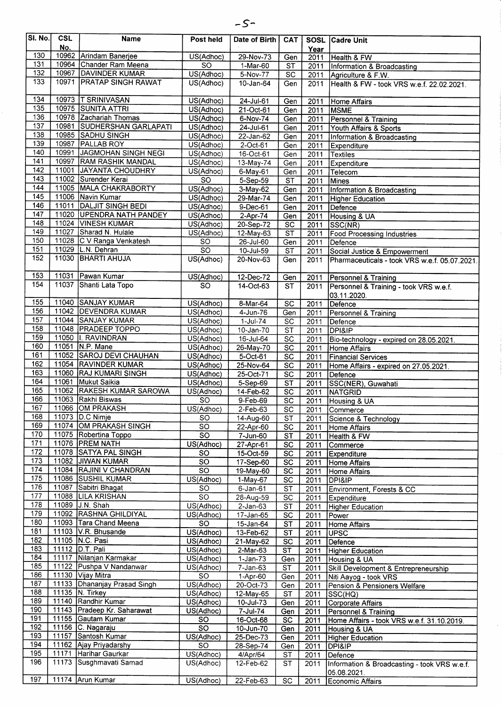| SI. No.          | <b>CSL</b><br>No. | <b>Name</b>                                      | Post held              | Date of Birth           | <b>CAT</b>                         |              | <b>SOSL Cadre Unit</b>                                  |
|------------------|-------------------|--------------------------------------------------|------------------------|-------------------------|------------------------------------|--------------|---------------------------------------------------------|
| 130              |                   | 10962 Arindam Banerjee                           | US(Adhoc)              | 29-Nov-73               | Gen                                | Year<br>2011 | Health & FW                                             |
| 131              |                   | 10964 Chander Ram Meena                          | $\overline{SO}$        | $1-Mar-60$              | <b>ST</b>                          | 2011         | Information & Broadcasting                              |
| 132              |                   | 10967 DAVINDER KUMAR                             | US(Adhoc)              | 5-Nov-77                | <b>SC</b>                          | 2011         | Agriculture & F.W.                                      |
| 133              | 10971             | <b>PRATAP SINGH RAWAT</b>                        | US(Adhoc)              | 10-Jan-64               | Gen                                | 2011         | Health & FW - took VRS w.e.f. 22.02.2021.               |
| 134              |                   | 10973  T SRINIVASAN                              | US(Adhoc)              | 24-Jul-61               | Gen                                | 2011         | <b>Home Affairs</b>                                     |
| 135              |                   | 10975 SUNITA ATTRI                               | US(Adhoc)              | 21-Oct-61               | Gen                                | 2011         | <b>MSME</b>                                             |
| 136              |                   | 10978 Zachariah Thomas                           | US(Adhoc)              | 6-Nov-74                | Gen                                | 2011         | Personnel & Training                                    |
| 137              | 10981             | <b>SUDHERSHAN GARLAPATI</b>                      | US(Adhoc)              | $24$ -Jul-61            | Gen                                | 2011         | Youth Affairs & Sports                                  |
| 138<br>139       |                   | 10985 SADHU SINGH                                | US(Adhoc)              | 22-Jan-62               | Gen                                | 2011         | Information & Broadcasting                              |
| 140              | 10987<br>10991    | <b>PALLAB ROY</b><br>JAGMOHAN SINGH NEGI         | US(Adhoc)              | 2-Oct-61                | Gen                                | 2011         | Expenditure                                             |
| 141              | 10997             | <b>RAM RASHIK MANDAL</b>                         | US(Adhoc)<br>US(Adhoc) | 16-Oct-61               | Gen                                | 2011         | Textiles                                                |
| 142              | 11001             | JAYANTA CHOUDHRY                                 | US(Adhoc)              | 13-May-74<br>6-May-61   | Gen<br>Gen                         | 2011<br>2011 | Expenditure<br>Telecom                                  |
| 143              |                   | 11002 Surender Kerai                             | <b>SO</b>              | 5-Sep-59                | $\overline{\mathsf{ST}}$           | 2011         | Mines                                                   |
| 144              | 11005             | MALA CHAKRABORTY                                 | US(Adhoc)              | 3-May-62                | Gen                                | 2011         | Information & Broadcasting                              |
| 145              |                   | 11006 Navin Kumar                                | US(Adhoc)              | 29-Mar-74               | Gen                                | 2011         | Higher Education                                        |
| 146              | 11011             | <b>DALJIT SINGH BEDI</b>                         | US(Adhoc)              | 9-Dec-61                | Gen                                | 2011         | Defence                                                 |
| 147              |                   | 11020 UPENDRA NATH PANDEY                        | US(Adhoc)              | $2-Apr-74$              | Gen                                | 2011         | Housing & UA                                            |
| $\overline{148}$ |                   | 11024 VINESH KUMAR                               | US(Adhoc)              | 20-Sep-72               | $\overline{SC}$                    | 2011         | SSC(NR)                                                 |
| 149              | 11027             | Sharad N. Hulale                                 | US(Adhoc)              | 12-May-63               | $\overline{\text{ST}}$             | 2011         | <b>Food Processing Industries</b>                       |
| 150              | 11028             | C V Ranga Venkatesh                              | <b>SO</b>              | 26-Jul-60               | Gen                                | 2011         | Defence                                                 |
| 151<br>152       |                   | 11029 L.N. Dehran<br>11030 BHARTI AHUJA          | <b>SO</b>              | 10-Jul-59               | <b>ST</b>                          | 2011         | Social Justice & Empowerment                            |
|                  |                   |                                                  | US(Adhoc)              | 20-Nov-63               | Gen                                | 2011         | Pharmaceuticals - took VRS w.e.f. 05.07.2021.           |
| 153              | 11031             | Pawan Kumar                                      | US(Adhoc)              | 12-Dec-72               | Gen                                | 2011         | Personnel & Training                                    |
| 154              |                   | 11037 Shanti Lata Topo                           | SO.                    | $14-Oct-63$             | <b>ST</b>                          | 2011         | Personnel & Training - took VRS w.e.f.                  |
| 155              |                   | 11040 SANJAY KUMAR                               | US(Adhoc)              |                         |                                    |              | 03.11.2020.                                             |
| 156              |                   | 11042 DEVENDRA KUMAR                             | US(Adhoc)              | 8-Mar-64<br>4-Jun-76    | $\overline{SC}$<br>Gen             | 2011<br>2011 | Defence                                                 |
| 157              |                   | 11044 SANJAY KUMAR                               | US(Adhoc)              | $1-Jul-74$              | SC                                 | 2011         | Personnel & Training<br>Defence                         |
| 158              |                   | 11048 PRADEEP TOPPO                              | US(Adhoc)              | $10 - Jan-70$           | <b>ST</b>                          | 2011         | DPI&IP                                                  |
| 159              |                   | 11050   RAVINDRAN                                | US(Adhoc)              | $16 -$ Jul-64           | $\overline{SC}$                    | 2011         | Bio-technology - expired on 28.05.2021.                 |
| 160              | 11051             | N.P. Mane                                        | US(Adhoc)              | 26-May-70               | $\overline{SC}$                    | 2011         | Home Affairs                                            |
| 161              | 11052             | SAROJ DEVI CHAUHAN                               | US(Adhoc)              | 5-Oct-61                | $\overline{SC}$                    | 2011         | <b>Financial Services</b>                               |
| 162              |                   | 11054 RAVINDER KUMAR                             | US(Adhoc)              | 25-Nov-64               | <b>SC</b>                          | 2011         | Home Affairs - expired on 27.05.2021.                   |
| 163              | 11060             | <b>RAJ KUMARI SINGH</b>                          | US(Adhoc)              | 25-Oct-71               | $\overline{SC}$                    | 2011         | Defence                                                 |
| 164<br>165       | 11061<br>11062    | Mukut Saikia                                     | US(Adhoc)              | 5-Sep-69                | <b>ST</b>                          | 2011         | SSC(NER), Guwahati                                      |
| 166              |                   | <b>RAKESH KUMAR SAROWA</b><br>11063 Rakhi Biswas | US(Adhoc)<br><b>SO</b> | 14-Feb-62               | $\overline{SC}$<br>$\overline{SC}$ | 2011         | NATGRID                                                 |
| 167              |                   | 11066 OM PRAKASH                                 | US(Adhoc)              | 9-Feb-69<br>$2$ -Feb-63 | $\overline{sc}$                    | 2011<br>2011 | Housing & UA<br>Commerce                                |
| 168              |                   | 11073   D.C Nimje                                | <b>SO</b>              | 14-Aug-60               | <b>ST</b>                          | 2011         | Science & Technology                                    |
| 169              |                   | 11074 OM PRAKASH SINGH                           | <b>SO</b>              | 22-Apr-60               | <b>SC</b>                          | 2011         | Home Affairs                                            |
| 170              |                   | 11075 Robertina Toppo                            | $\overline{SO}$        | 7-Jun-60                | <b>ST</b>                          | 2011         | Health & FW                                             |
| 171              |                   | 11076 PREM NATH                                  | US(Adhoc)              | 27-Apr-61               | $\overline{SC}$                    | 2011         | Commerce                                                |
| 172              |                   | 11078 SATYA PAL SINGH                            | <b>SO</b>              | 15-Oct-59               | $\overline{SC}$                    | 2011         | Expenditure                                             |
| 173              |                   | 11082 JJIWAN KUMAR                               | <b>SO</b>              | 17-Sep-60               | <b>SC</b>                          | 2011         | Home Affairs                                            |
| 174              |                   | 11084 RAJINI V CHANDRAN                          | $\overline{SO}$        | 19-May-60               | SC                                 | 2011         | Home Affairs                                            |
| 175              |                   | 11086 SUSHIL KUMAR                               | US(Adhoc)              | 1-May-67                | $\overline{SC}$                    | 2011         | DPI&IP                                                  |
| 176<br>177       | 11087             | Sabitri Bhagat<br>11088 LILA KRISHAN             | <b>SO</b>              | $6 - Jan-61$            | ST                                 | 2011         | Environment, Forests & CC                               |
| 178              |                   | 11089 J.N. Shah                                  | <b>SO</b><br>US(Adhoc) | 28-Aug-59<br>$2-Jan-63$ | SC<br>ST                           | 2011         | Expenditure                                             |
| 179              |                   | 11092 RASHNA GHILDIYAL                           | US(Adhoc)              | 17-Jan-65               | $\overline{SC}$                    | 2011<br>2011 | <b>Higher Education</b><br>Power                        |
| 180              |                   | 11093 Tara Chand Meena                           | $\overline{SO}$        | 15-Jan-64               | $\overline{\text{ST}}$             | 2011         | <b>Home Affairs</b>                                     |
| 181              |                   | 11103 V.R. Bhusande                              | US(Adhoc)              | 13-Feb-62               | <b>ST</b>                          | 2011         | <b>UPSC</b>                                             |
| 182              |                   | 11105   N.C. Pasi                                | US(Adhoc)              | 21-May-62               | <b>SC</b>                          | 2011         | Defence                                                 |
| 183              |                   | 11112 D.T. Pali                                  | US(Adhoc)              | 2-Mar-63                | $\overline{\text{ST}}$             | 2011         | Higher Education                                        |
| 184              |                   | 11117 Nilanjan Karmakar                          | US(Adhoc)              | $1-Jan-73$              | Gen                                | 2011         | Housing & UA                                            |
| 185<br>186       |                   | 11122 Pushpa V Nandanwar<br>11130 Vijay Mitra    | US(Adhoc)              | $7-Jan-63$              | <b>ST</b>                          | 2011         | Skill Development & Entrepreneurship                    |
| 187              |                   | 11133 Dhananjay Prasad Singh                     | <b>SO</b><br>US(Adhoc) | 1-Apr-60                | Gen                                | 2011         | Niti Aayog - took VRS                                   |
| 188              |                   | 11135   N. Tirkey                                | US(Adhoc)              | 20-Oct-73<br>12-May-65  | Gen<br>ST                          | 2011<br>2011 | Pension & Pensioners Welfare<br>SSC(HQ)                 |
| 189              |                   | 11140 Randhir Kumar                              | US(Adhoc)              | 10-Jul-73               | Gen                                | 2011         | Corporate Affairs                                       |
| 190              |                   | 11143   Pradeep Kr. Saharawat                    | US(Adhoc)              | 7-Jul-74                | Gen                                | 2011         | Personnel & Training                                    |
| 191              |                   | 11155 Gautam Kumar                               | <b>SO</b>              | 16-Oct-68               | <b>SC</b>                          | 2011         | Home Affairs - took VRS w.e.f. 31.10.2019.              |
| 192              |                   | 11156 C. Nagaraju                                | <b>SO</b>              | 10-Jun-70               | Gen                                | 2011         | Housing & UA                                            |
| 193              |                   | 11157 Santosh Kumar                              | US(Adhoc)              | 25-Dec-73               | Gen                                | 2011         | Higher Education                                        |
| 194              |                   | 11162 Ajay Priyadarshy                           | <b>SO</b>              | 28-Sep-74               | Gen                                | 2011         | <b>DPI&amp;IP</b>                                       |
| 195<br>196       |                   | 11171 Harihar Gaurkar<br>11173 Susghmavati Samad | US(Adhoc)<br>US(Adhoc) | 4/Apr/64<br>12-Feb-62   | ST<br>SТ                           | 2011<br>2011 | Defence<br>Information & Broadcasting - took VRS w.e.f. |
|                  |                   |                                                  |                        |                         |                                    |              | 05.08.2021.                                             |
| 197              |                   | 11174 Arun Kumar                                 | US(Adhoc)              | 22-Feb-63               | SC                                 | 2011         | Economic Affairs                                        |

 $-5-$